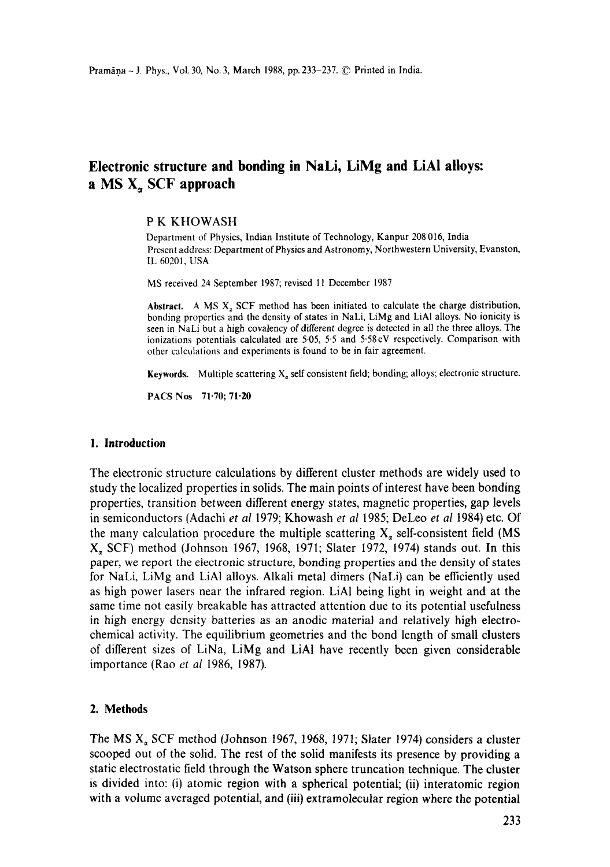# **Electronic structure and bonding in NaLi, LiMg and LiAI alloys:**  a MS X~, SCF **approach**

#### **P K** KHOWASH

Department of Physics, Indian Institute of Technology, Kanpur 208 016, India Present address: Department of Physics and Astronomy, Northwestern University, Evanston, IL 60201, USA

MS received 24 September 1987; revised 11 December 1987

**Abstract.** A MS X, SCF method has been initiated to calculate the charge distribution, bonding properties and the density of states in NaLi, LiMg and LiA1 alloys. No ionicity is seen in NaLi but a high covalency of different degree is detected in all the three alloys. The ionizations potentials calculated are 5<sup>05</sup>, 5.5 and 5.58eV respectively. Comparison with other calculations and experiments is found to be in fair agreement.

**Keywords.** Multiple scattering  $X_a$  self consistent field; bonding; alloys; electronic structure.

PACS Nos 71.70; 71-20

## **I. Introduction**

The electronic structure calculations by different cluster methods are widely used to study the localized properties in solids. The main points of interest have been bonding properties, transition between different energy states, magnetic properties, gap levels in semiconductors (Adachi *et al* 1979; Khowash *et al* 1985; DeLeo *et al* 1984) etc. Of the many calculation procedure the multiple scattering  $X_a$  self-consistent field (MS X, SCF) method (Johnson 1967, 1968, 1971; Slater 1972, 1974) stands out. In this paper, we report the electronic structure, bonding properties and the density of states for NaLi, LiMg and LiA1 alloys. Alkali metal dimers (NaLi) can be efficiently used as high power lasers near the infrared region. LiAI being light in weight and at the same time not easily breakable has attracted attention due to its potential usefulness in high energy density batteries as an anodic material and relatively high electrochemical activity. The equilibrium geometries and the bond length of small clusters of different sizes of LiNa, LiMg and LiAI have recently been given considerable importance (Rao *et al* 1986, 1987).

## **2. Methods**

The MS  $X_{\alpha}$  SCF method (Johnson 1967, 1968, 1971; Slater 1974) considers a cluster scooped out of the solid. The rest of the solid manifests its presence by providing a static electrostatic field through the Watson sphere truncation technique. The **cluster**  is divided into: 6) atomic region with a spherical potential; (ii) interatomic region with a volume averaged potential, and (iii) extramolecular region where the potential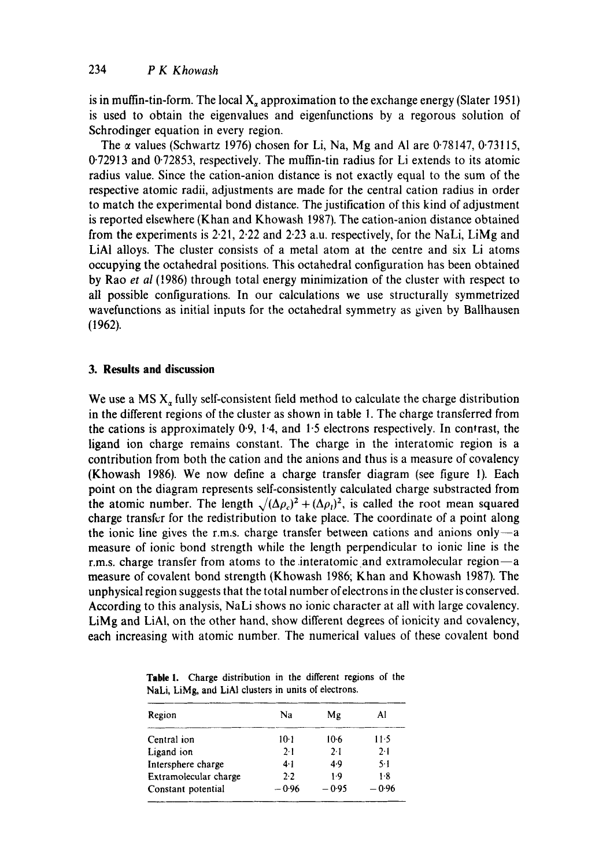is in muffin-tin-form. The local  $X_a$  approximation to the exchange energy (Slater 1951) is used to obtain the eigenvalues and eigenfunctions by a regorous solution of Schrodinger equation in every region.

The  $\alpha$  values (Schwartz 1976) chosen for Li, Na, Mg and Al are 0.78147, 0.73115, 0"72913 and 0.72853, respectively. The muffin-tin radius for Li extends to its atomic radius value. Since the cation-anion distance is not exactly equal to the sum of the respective atomic radii, adjustments are made for the central cation radius in order to match the experimental bond distance. The justification of this kind of adjustment is reported elsewhere (Khan and Khowash 1987). The cation-anion distance obtained from the experiments is 2.21, 2.22 and 2.23 a.u. respectively, for the NaLi, LiMg and LiAI alloys. The cluster consists of a metal atom at the centre and six Li atoms occupying the octahedral positions. This octahedral configuration has been obtained by Rao *et al* (1986) through total energy minimization of the cluster with respect to all possible configurations. In our calculations we use structurally symmetrized wavefunctions as initial inputs for the octahedral symmetry as given by Ballhausen (1962).

## **3. Results and discussion**

We use a MS  $X_a$  fully self-consistent field method to calculate the charge distribution in the different regions of the cluster as shown in table 1. The charge transferred from the cations is approximately  $0.9$ ,  $1.4$ , and  $1.5$  electrons respectively. In contrast, the ligand ion charge remains constant. The charge in the interatomic region is a contribution from both the cation and the anions and thus is a measure of covalency (Khowash 1986). We now define a charge transfer diagram (see figure 1). Each point on the diagram represents self-consistently calculated charge substracted from the atomic number. The length  $\sqrt{(\Delta \rho_c)^2 + (\Delta \rho_l)^2}$ , is called the root mean squared charge transfer for the redistribution to take place. The coordinate of a point along the ionic line gives the r.m.s. charge transfer between cations and anions only- $-a$ measure of ionic bond strength while the length perpendicular to ionic line is the r.m.s. charge transfer from atoms to the interatomic and extramolecular region $-a$ measure of covalent bond strength (Khowash 1986; Khan and Khowash 1987). The unphysical region suggests that the total number of electrons in the cluster is conserved. According to this analysis, NaLi shows no ionic character at all with large covalency. LiMg and LiAI, on the other hand, show different degrees of ionicity and covalency, each increasing with atomic number. The numerical values of these covalent bond

|  | Table 1. Charge distribution in the different regions of the |  |  |  |
|--|--------------------------------------------------------------|--|--|--|
|  | NaLi, LiMg, and LiAl clusters in units of electrons.         |  |  |  |

| Region                | Na      | Mg      | Al      |  |  |
|-----------------------|---------|---------|---------|--|--|
| Central ion           | $10-1$  | $10-6$  | 11.5    |  |  |
| Ligand ion            | 2.1     | 2.1     | $2-1$   |  |  |
| Intersphere charge    | 4·1     | 4.9     | $5-1$   |  |  |
| Extramolecular charge | 2.2     | $1-9$   | 1.8     |  |  |
| Constant potential    | $-0.96$ | $-0.95$ | $-0.96$ |  |  |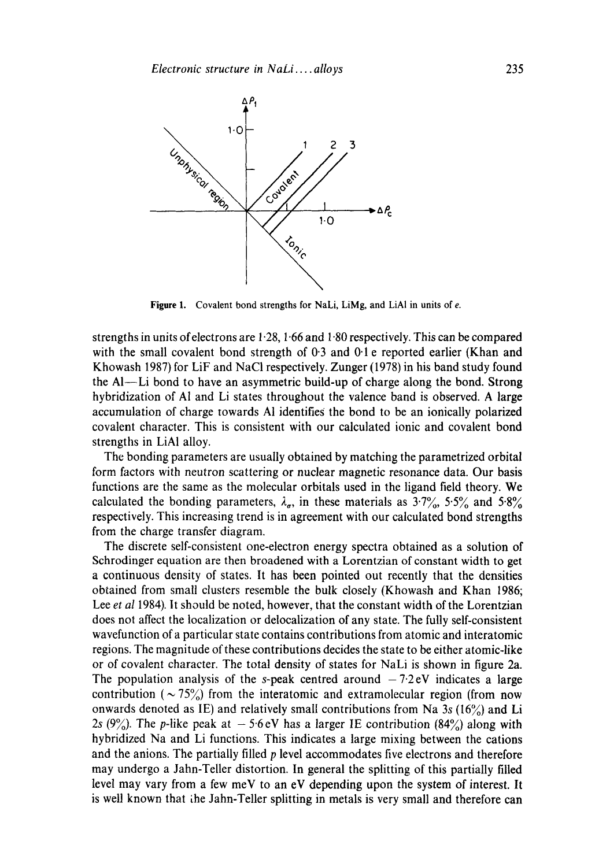

Figure 1. Covalent bond strengths for NaLi, LiMg, and LiAI in units of *e*.

strengths in units of electrons are 1.28, 1.66 and 1.80 respectively. This can be compared with the small covalent bond strength of 0.3 and 0.1 e reported earlier (Khan and Khowash 1987) for LiF and NaCI respectively. Zunger (1978) in his band study found the AI--Li bond to have an asymmetric build-up of charge along the bond. Strong hybridization of A1 and Li states throughout the valence band is observed. A large accumulation of charge towards A1 identifies the bond to be an ionically polarized covalent character. This is consistent with our calculated ionic and covalent bond strengths in LiA1 alloy.

The bonding parameters are usually obtained by matching the parametrized orbital form factors with neutron scattering or nuclear magnetic resonance data. Our basis functions are the same as the molecular orbitals used in the ligand field theory. We calculated the bonding parameters,  $\lambda_{\sigma}$ , in these materials as  $3.7\%$ ,  $5.5\%$  and  $5.8\%$ respectively. This increasing trend is in agreement with our calculated bond strengths from the charge transfer diagram.

The discrete self-consistent one-electron energy spectra obtained as a solution of Schrodinger equation are then broadened with a Lorentzian of constant width to get a continuous density of states. It has been pointed out recently that the densities obtained from small clusters resemble the bulk closely (Khowash and Khan 1986; Lee *et al* 1984). It should be noted, however, that the constant width of the Lorentzian does not affect the localization or delocalization of any state. The fully self-consistent wavefunction of a particular state contains contributions from atomic and interatomic regions. The magnitude of these contributions decides the state to be either atomic-like or of covalent character. The total density of states for NaLi is shown in figure 2a. The population analysis of the s-peak centred around  $-7.2eV$  indicates a large contribution ( $\sim$  75%) from the interatomic and extramolecular region (from now onwards denoted as IE) and relatively small contributions from Na 3s (16%) and Li 2s (9%). The p-like peak at  $-5.6$  eV has a larger IE contribution (84%) along with hybridized Na and Li functions. This indicates a large mixing between the cations and the anions. The partially filled p level accommodates five electrons and therefore may undergo a Jahn-Teller distortion. In general the splitting of this partially filled level may vary from a few meV to an eV depending upon the system of interest. It is well known that the Jahn-Teller splitting in metals is very small and therefore can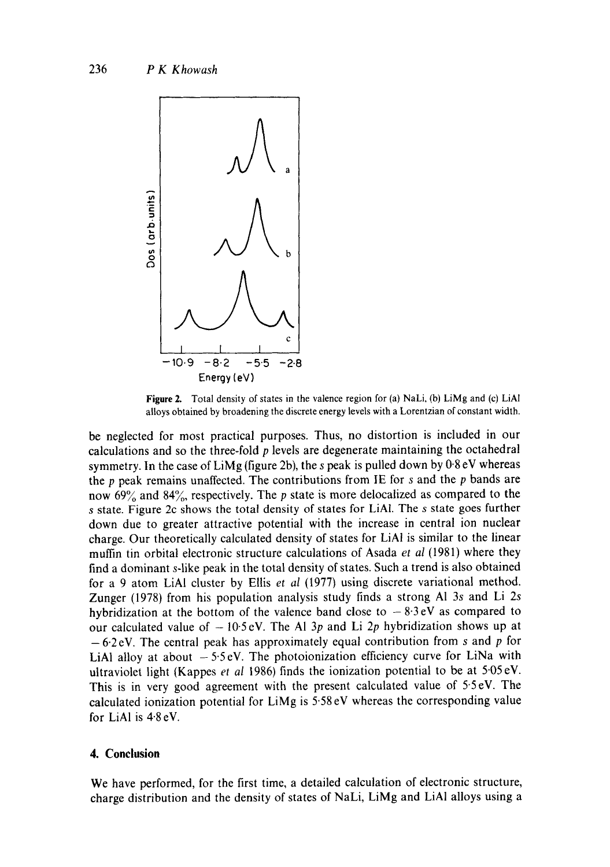

Figure 2. Total density of states in the valence region for (a) NaLi, (b) LiMg and (c) LiAl alloys obtained by broadening the discrete energy levels with a Lorentzian of constant width.

be neglected for most practical purposes. Thus, no distortion is included in our calculations and so the three-fold p levels are degenerate maintaining the octahedral symmetry. In the case of  $L$ iMg (figure 2b), the s peak is pulled down by  $0.8 \text{ eV}$  whereas the  $p$  peak remains unaffected. The contributions from IE for  $s$  and the  $p$  bands are now 69% and 84%, respectively. The p state is more delocalized as compared to the s state. Figure 2c shows the total density of states for LiA1. The s state goes further down due to greater attractive potential with the increase in central ion nuclear charge. Our theoretically calculated density of states for LiA1 is similar to the linear muffin tin orbital electronic structure calculations of Asada *et al* (1981) where they find a dominant s-like peak in the total density of states. Such a trend is also obtained for a 9 atom LiAI cluster by Ellis *et al* (1977) using discrete variational method. Zunger (1978) from his population analysis study finds a strong AI 3s and Li 2s hybridization at the bottom of the valence band close to  $-8.3 \text{ eV}$  as compared to our calculated value of  $-10.5$  eV. The Al 3p and Li 2p hybridization shows up at  $-6.2$  eV. The central peak has approximately equal contribution from s and p for LiAl alloy at about  $-5.5$ eV. The photoionization efficiency curve for LiNa with ultraviolet light (Kappes *et al* 1986) finds the ionization potential to be at 5.05 eV. This is in very good agreement with the present calculated value of 5.5eV. The calculated ionization potential for LiMg is 5.58 eV whereas the corresponding value for LiAl is  $4.8 \text{ eV}$ .

### **4. Conclusion**

We have performed, for the first time, a detailed calculation of electronic structure, charge distribution and the density of states of NaLi, LiMg and LiAI alloys using a